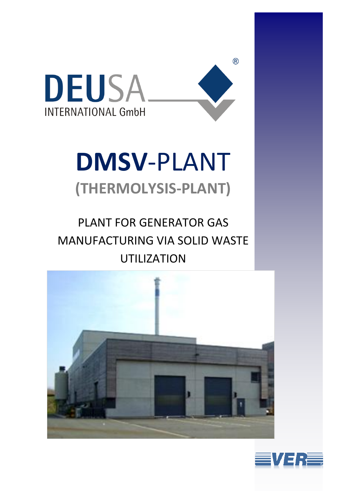

# **DMSV**-PLANT **(THERMOLYSIS-PLANT)**

 $(R)$ 

# PLANT FOR GENERATOR GAS MANUFACTURING VIA SOLID WASTE UTILIZATION



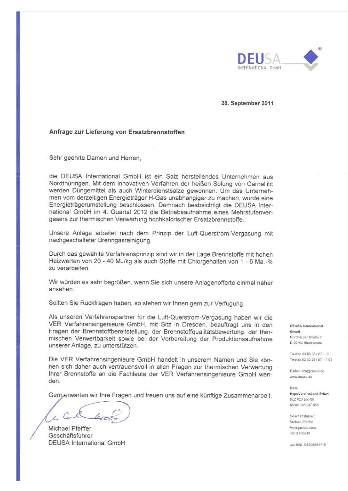

28. September 2011

#### Anfrage zur Lieferung von Ersatzbrennstoffen

Sehr geehrte Damen und Herren,

die DEUSA International GmbH ist ein Salz herstellendes Unternehmen aus Nordthüringen. Mit dem innovativen Verfahren der heißen Solung von Carnallitit werden Düngemittel als auch Winterdienstsalze gewonnen. Um das Unternehmen vom derzeitigen Energieträger H-Gas unabhängiger zu machen, wurde eine Energieträgerumstellung beschlossen. Demnach beabsichtigt die DEUSA International GmbH im 4. Quartal 2012 die Betriebsaufnahme eines Mehrstufenvergasers zur thermischen Verwertung hochkalorischer Ersatzbrennstoffe.

Unsere Anlage arbeitet nach dem Prinzip der Luft-Querstrom-Vergasung mit nachgeschalteter Brenngasreinigung.

Durch das gewählte Verfahrensprinzip sind wir in der Lage Brennstoffe mit hohen Heizwerten von 20 - 40 MJ/kg als auch Stoffe mit Chlorgehalten von 1 - 6 Ma.-% zu verarbeiten.

Wir würden es sehr begrüßen, wenn Sie sich unsere Anlagenofferte einmal näher ansehen.

Sollten Sie Rückfragen haben, so stehen wir Ihnen gern zur Verfügung.

Als unseren Verfahrenspartner für die Luft-Querstrom-Vergasung haben wir die VER Verfahrensingenieure GmbH, mit Sitz in Dresden, beauftragt uns in den Fragen der Brennstoffbereitstellung, der Brennstoffqualitätsbewertung, der thermischen Verwertbarkeit sowie bei der Vorbereitung der Produktionsaufnahme unserer Anlage, zu unterstützen.

Die VER Verfahrensingenieure GmbH handelt in unserem Namen und Sie können sich daher auch vertrauensvoll in allen Fragen zur thermischen Verwertung Ihrer Brennstoffe an die Fachleute der VER Verfahrensingenieure GmbH wenden.

Gerryerwarten wir Ihre Fragen und freuen uns auf eine künftige Zusammenarbeit.

Michael Pfeiffer Geschäftsführer DEUSA International GmbH

DEUSA International GmbH

Nordhäuser Straße 2 D-99752 Blaicherode

Telefon 03 63 38 / 67 - 0 Telefax 03 63 38 / 67 - 1 03

E-Mail: info@deusa.de www.deusa.de

Bank HypoVereinsbank Erfurt BLZ 820 200 86 Konto 358 287 468

Geschäftsführen: Michael Pfeiffer Amtsgericht Jena HR B 405310

Ust-IdNr. DE206681715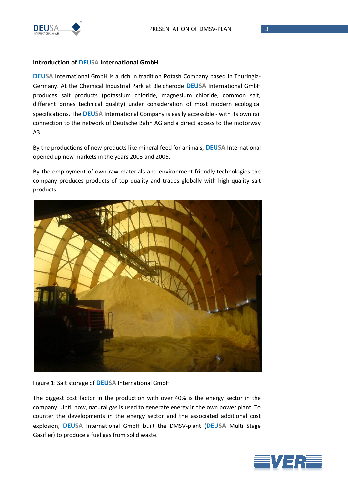

#### **Introduction of DEUSA International GmbH**

**DEUSA** International GmbH is a rich in tradition Potash Company based in Thuringia-Germany. At the Chemical Industrial Park at Bleicherode **DEUSA** International GmbH produces salt products (potassium chloride, magnesium chloride, common salt, different brines technical quality) under consideration of most modern ecological specifications. The **DEUSA** International Company is easily accessible - with its own rail connection to the network of Deutsche Bahn AG and a direct access to the motorway A3.

By the productions of new products like mineral feed for animals, **DEUSA** International opened up new markets in the years 2003 and 2005.

By the employment of own raw materials and environment-friendly technologies the company produces products of top quality and trades globally with high-quality salt products.



Figure 1: Salt storage of **DEUSA** International GmbH

The biggest cost factor in the production with over 40% is the energy sector in the company. Until now, natural gas is used to generate energy in the own power plant. To counter the developments in the energy sector and the associated additional cost explosion, **DEUSA** International GmbH built the DMSV-plant (**DEUSA** Multi Stage Gasifier) to produce a fuel gas from solid waste.

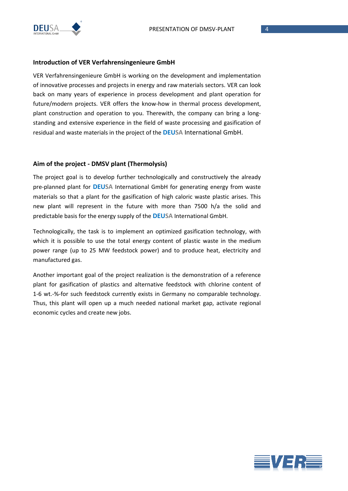

#### **Introduction of VER Verfahrensingenieure GmbH**

VER Verfahrensingenieure GmbH is working on the development and implementation of innovative processes and projects in energy and raw materials sectors. VER can look back on many years of experience in process development and plant operation for future/modern projects. VER offers the know-how in thermal process development, plant construction and operation to you. Therewith, the company can bring a longstanding and extensive experience in the field of waste processing and gasification of residual and waste materials in the project of the **DEUSA** International GmbH.

#### **Aim of the project - DMSV plant (Thermolysis)**

The project goal is to develop further technologically and constructively the already pre-planned plant for **DEUSA** International GmbH for generating energy from waste materials so that a plant for the gasification of high caloric waste plastic arises. This new plant will represent in the future with more than 7500 h/a the solid and predictable basis for the energy supply of the **DEUSA** International GmbH.

Technologically, the task is to implement an optimized gasification technology, with which it is possible to use the total energy content of plastic waste in the medium power range (up to 25 MW feedstock power) and to produce heat, electricity and manufactured gas.

Another important goal of the project realization is the demonstration of a reference plant for gasification of plastics and alternative feedstock with chlorine content of 1-6 wt.-%-for such feedstock currently exists in Germany no comparable technology. Thus, this plant will open up a much needed national market gap, activate regional economic cycles and create new jobs.

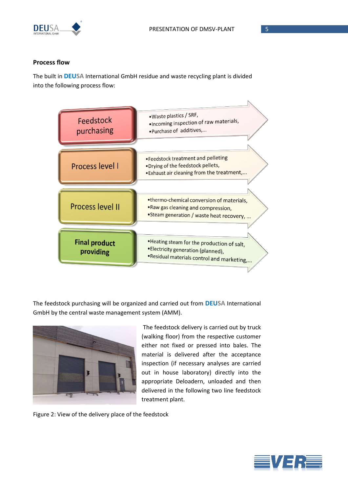

#### **Process flow**

The built in **DEUSA** International GmbH residue and waste recycling plant is divided into the following process flow:



The feedstock purchasing will be organized and carried out from **DEUSA** International GmbH by the central waste management system (AMM).



The feedstock delivery is carried out by truck (walking floor) from the respective customer either not fixed or pressed into bales. The material is delivered after the acceptance inspection (if necessary analyses are carried out in house laboratory) directly into the appropriate Deloadern, unloaded and then delivered in the following two line feedstock treatment plant.

Figure 2: View of the delivery place of the feedstock

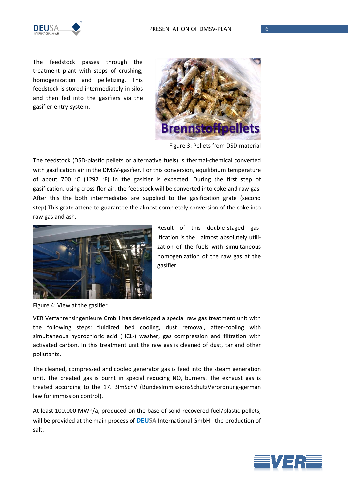

The feedstock passes through the treatment plant with steps of crushing, homogenization and pelletizing. This feedstock is stored intermediately in silos and then fed into the gasifiers via the gasifier-entry-system.



Figure 3: Pellets from DSD-material

The feedstock (DSD-plastic pellets or alternative fuels) is thermal-chemical converted with gasification air in the DMSV-gasifier. For this conversion, equilibrium temperature of about 700 °C (1292 °F) in the gasifier is expected. During the first step of gasification, using cross-flor-air, the feedstock will be converted into coke and raw gas. After this the both intermediates are supplied to the gasification grate (second step).This grate attend to guarantee the almost completely conversion of the coke into raw gas and ash.



Result of this double-staged gasification is the almost absolutely utilization of the fuels with simultaneous homogenization of the raw gas at the gasifier.

Figure 4: View at the gasifier

VER Verfahrensingenieure GmbH has developed a special raw gas treatment unit with the following steps: fluidized bed cooling, dust removal, after-cooling with simultaneous hydrochloric acid (HCL-) washer, gas compression and filtration with activated carbon. In this treatment unit the raw gas is cleaned of dust, tar and other pollutants.

The cleaned, compressed and cooled generator gas is feed into the steam generation unit. The created gas is burnt in special reducing  $NO<sub>x</sub>$  burners. The exhaust gas is treated according to the 17. BImSchV (BundesImmissionsSchutzVerordnung-german law for immission control).

At least 100.000 MWh/a, produced on the base of solid recovered fuel/plastic pellets, will be provided at the main process of **DEUSA** International GmbH - the production of salt.

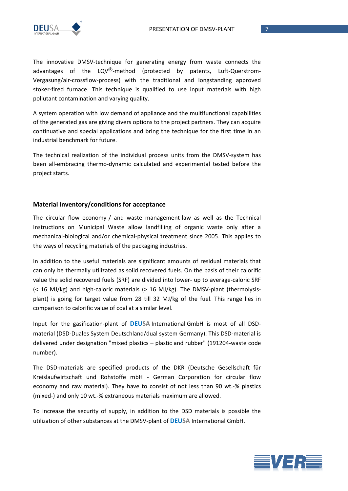

The innovative DMSV-technique for generating energy from waste connects the advantages of the  $LQV^{\textcircled{e}}$ -method (protected by patents, Luft-Querstrom-Vergasung/air-crossflow-process) with the traditional and longstanding approved stoker-fired furnace. This technique is qualified to use input materials with high pollutant contamination and varying quality.

A system operation with low demand of appliance and the multifunctional capabilities of the generated gas are giving divers options to the project partners. They can acquire continuative and special applications and bring the technique for the first time in an industrial benchmark for future.

The technical realization of the individual process units from the DMSV-system has been all-embracing thermo-dynamic calculated and experimental tested before the project starts.

#### **Material inventory/conditions for acceptance**

The circular flow economy-/ and waste management-law as well as the Technical Instructions on Municipal Waste allow landfilling of organic waste only after a mechanical-biological and/or chemical-physical treatment since 2005. This applies to the ways of recycling materials of the packaging industries.

In addition to the useful materials are significant amounts of residual materials that can only be thermally utilizated as solid recovered fuels. On the basis of their calorific value the solid recovered fuels (SRF) are divided into lower- up to average-caloric SRF (< 16 MJ/kg) and high-caloric materials (> 16 MJ/kg). The DMSV-plant (thermolysisplant) is going for target value from 28 till 32 MJ/kg of the fuel. This range lies in comparison to calorific value of coal at a similar level.

Input for the gasification-plant of **DEUSA** International GmbH is most of all DSDmaterial (DSD-Duales System Deutschland/dual system Germany). This DSD-material is delivered under designation "mixed plastics – plastic and rubber" (191204-waste code number).

The DSD-materials are specified products of the DKR (Deutsche Gesellschaft für Kreislaufwirtschaft und Rohstoffe mbH - German Corporation for circular flow economy and raw material). They have to consist of not less than 90 wt.-% plastics (mixed-) and only 10 wt.-% extraneous materials maximum are allowed.

To increase the security of supply, in addition to the DSD materials is possible the utilization of other substances at the DMSV-plant of **DEUSA** International GmbH.

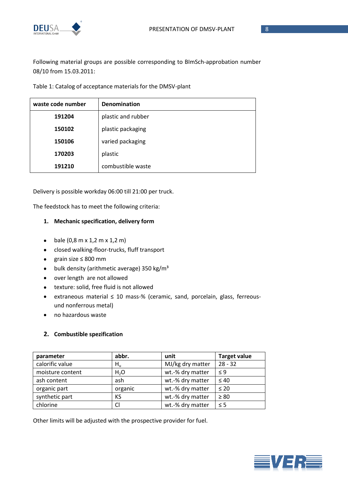

Following material groups are possible corresponding to BImSch-approbation number 08/10 from 15.03.2011:

Table 1: Catalog of acceptance materials for the DMSV-plant

| waste code number | <b>Denomination</b> |
|-------------------|---------------------|
| 191204            | plastic and rubber  |
| 150102            | plastic packaging   |
| 150106            | varied packaging    |
| 170203            | plastic             |
| 191210            | combustible waste   |

Delivery is possible workday 06:00 till 21:00 per truck.

The feedstock has to meet the following criteria:

#### **1. [Mechanic specification, delivery form](http://www.spreerecycling.com/index.php?Page_ID=annahmebedingungen&Lang_ID=de)**

- bale  $(0,8 \text{ m} \times 1,2 \text{ m} \times 1,2 \text{ m})$
- closed walking-floor-trucks, fluff transport
- grain size ≤ 800 mm
- $\bullet$  bulk density (arithmetic average) 350 kg/m<sup>3</sup>
- over length are not allowed
- texture: solid, free fluid is not allowed
- [extraneous](http://www.spreerecycling.com/index.php?Page_ID=annahmebedingungen&Lang_ID=de) material ≤ 10 mass-% (ceramic, sand, porcelain, glass, ferreousund nonferrous metal)
- no hazardous waste

#### **2. Combustible spezification**

| parameter        | abbr.   | unit             | <b>Target value</b> |
|------------------|---------|------------------|---------------------|
| calorific value  | $H_u$   | MJ/kg dry matter | $28 - 32$           |
| moisture content | $H_2O$  | wt.-% dry matter | < 9                 |
| ash content      | ash     | wt.-% dry matter | $\leq 40$           |
| organic part     | organic | wt.-% dry matter | $\leq 20$           |
| synthetic part   | KS      | wt.-% dry matter | $\geq 80$           |
| chlorine         | Cl      | wt.-% dry matter | $\leq$ 5            |

Other limits will be adjusted with the prospective provider for fuel.